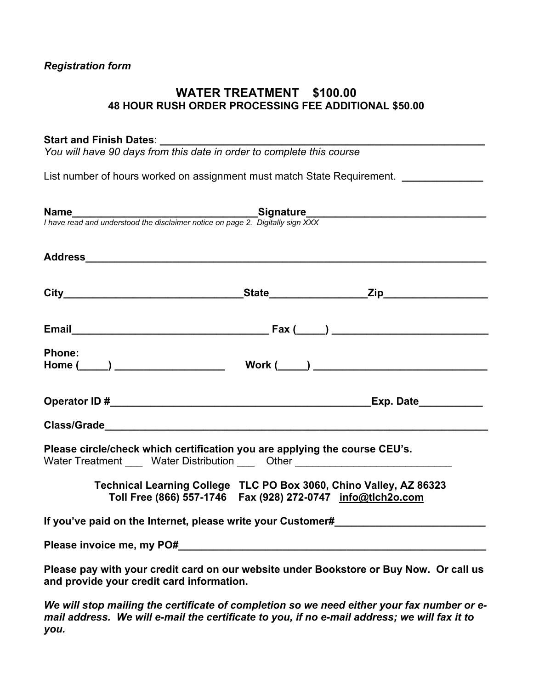# *Registration form*

# **WATER TREATMENT \$100.00 48 HOUR RUSH ORDER PROCESSING FEE ADDITIONAL \$50.00**

# Start and Finish Dates:

*You will have 90 days from this date in order to complete this course* 

List number of hours worked on assignment must match State Requirement. *\_\_\_\_\_\_\_\_\_\_\_\_* 

| <b>Name</b><br>I have read and understood the disclaimer notice on page 2. Digitally sign XXX                                                                  |                                                                                                                                     |
|----------------------------------------------------------------------------------------------------------------------------------------------------------------|-------------------------------------------------------------------------------------------------------------------------------------|
|                                                                                                                                                                |                                                                                                                                     |
|                                                                                                                                                                |                                                                                                                                     |
|                                                                                                                                                                |                                                                                                                                     |
| <b>Phone:</b>                                                                                                                                                  |                                                                                                                                     |
|                                                                                                                                                                |                                                                                                                                     |
|                                                                                                                                                                |                                                                                                                                     |
| Please circle/check which certification you are applying the course CEU's.<br>Water Treatment _____ Water Distribution ____ Other ____________________________ |                                                                                                                                     |
|                                                                                                                                                                | Technical Learning College TLC PO Box 3060, Chino Valley, AZ 86323<br>Toll Free (866) 557-1746  Fax (928) 272-0747  info@tlch2o.com |
| If you've paid on the Internet, please write your Customer#                                                                                                    |                                                                                                                                     |
|                                                                                                                                                                |                                                                                                                                     |
| and provide your credit card information.                                                                                                                      | Please pay with your credit card on our website under Bookstore or Buy Now. Or call us                                              |

*We will stop mailing the certificate of completion so we need either your fax number or email address. We will e-mail the certificate to you, if no e-mail address; we will fax it to you.*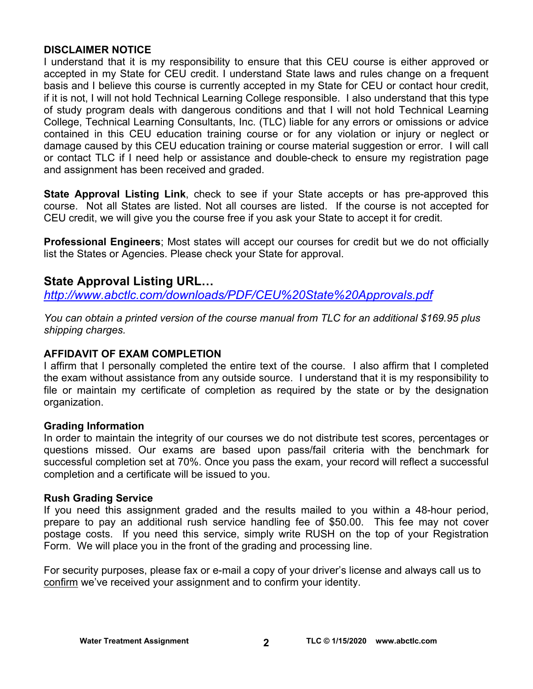# **DISCLAIMER NOTICE**

I understand that it is my responsibility to ensure that this CEU course is either approved or accepted in my State for CEU credit. I understand State laws and rules change on a frequent basis and I believe this course is currently accepted in my State for CEU or contact hour credit, if it is not, I will not hold Technical Learning College responsible. I also understand that this type of study program deals with dangerous conditions and that I will not hold Technical Learning College, Technical Learning Consultants, Inc. (TLC) liable for any errors or omissions or advice contained in this CEU education training course or for any violation or injury or neglect or damage caused by this CEU education training or course material suggestion or error. I will call or contact TLC if I need help or assistance and double-check to ensure my registration page and assignment has been received and graded.

**State Approval Listing Link**, check to see if your State accepts or has pre-approved this course. Not all States are listed. Not all courses are listed. If the course is not accepted for CEU credit, we will give you the course free if you ask your State to accept it for credit.

**Professional Engineers**; Most states will accept our courses for credit but we do not officially list the States or Agencies. Please check your State for approval.

# **State Approval Listing URL…**

*<http://www.abctlc.com/downloads/PDF/CEU%20State%20Approvals.pdf>*

*You can obtain a printed version of the course manual from TLC for an additional \$169.95 plus shipping charges.* 

# **AFFIDAVIT OF EXAM COMPLETION**

I affirm that I personally completed the entire text of the course. I also affirm that I completed the exam without assistance from any outside source. I understand that it is my responsibility to file or maintain my certificate of completion as required by the state or by the designation organization.

# **Grading Information**

In order to maintain the integrity of our courses we do not distribute test scores, percentages or questions missed. Our exams are based upon pass/fail criteria with the benchmark for successful completion set at 70%. Once you pass the exam, your record will reflect a successful completion and a certificate will be issued to you.

# **Rush Grading Service**

If you need this assignment graded and the results mailed to you within a 48-hour period, prepare to pay an additional rush service handling fee of \$50.00. This fee may not cover postage costs. If you need this service, simply write RUSH on the top of your Registration Form. We will place you in the front of the grading and processing line.

For security purposes, please fax or e-mail a copy of your driver's license and always call us to confirm we've received your assignment and to confirm your identity.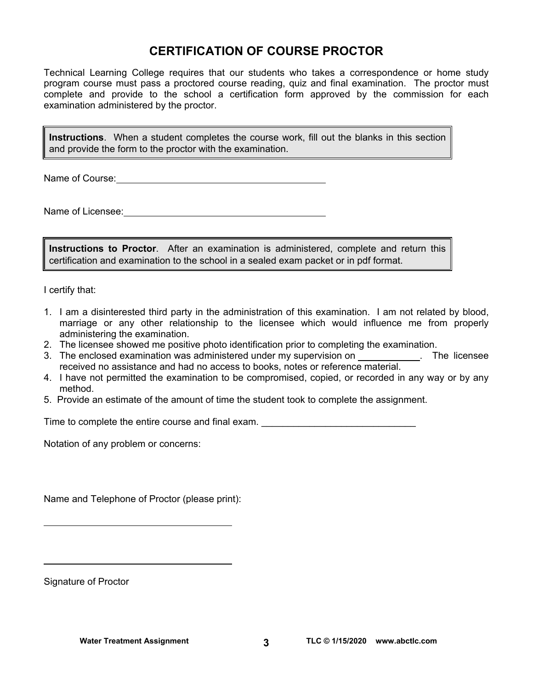# **CERTIFICATION OF COURSE PROCTOR**

Technical Learning College requires that our students who takes a correspondence or home study program course must pass a proctored course reading, quiz and final examination. The proctor must complete and provide to the school a certification form approved by the commission for each examination administered by the proctor.

**Instructions**. When a student completes the course work, fill out the blanks in this section and provide the form to the proctor with the examination.

Name of Course:  $\blacksquare$ 

Name of Licensee:  $\qquad \qquad \qquad$ 

**Instructions to Proctor**. After an examination is administered, complete and return this certification and examination to the school in a sealed exam packet or in pdf format.

I certify that:

- 1. I am a disinterested third party in the administration of this examination. I am not related by blood, marriage or any other relationship to the licensee which would influence me from properly administering the examination.
- 2. The licensee showed me positive photo identification prior to completing the examination.
- 3. The enclosed examination was administered under my supervision on . The licensee received no assistance and had no access to books, notes or reference material.
- 4. I have not permitted the examination to be compromised, copied, or recorded in any way or by any method.
- 5. Provide an estimate of the amount of time the student took to complete the assignment.

Time to complete the entire course and final exam. \_\_\_\_\_\_\_\_\_\_\_\_\_\_\_\_\_\_\_\_\_\_\_\_\_\_\_\_\_

Notation of any problem or concerns:

Name and Telephone of Proctor (please print):

Signature of Proctor

 $\overline{a}$ 

 $\overline{a}$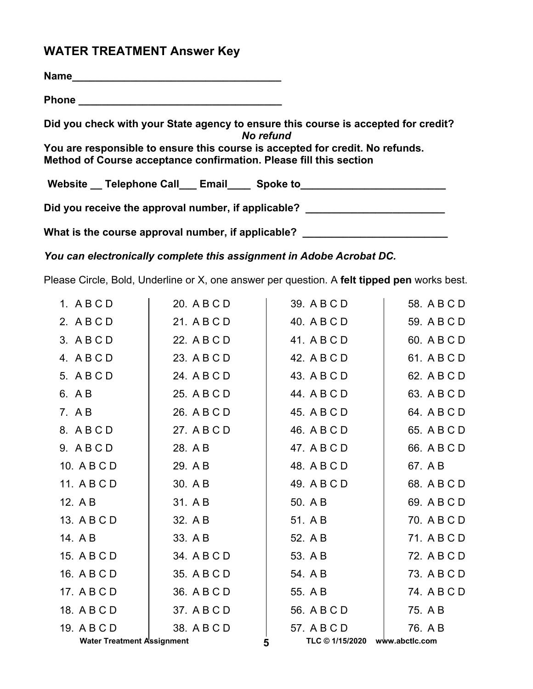# **WATER TREATMENT Answer Key**

| <b>Name</b>                                                                                                                                         |
|-----------------------------------------------------------------------------------------------------------------------------------------------------|
|                                                                                                                                                     |
| Did you check with your State agency to ensure this course is accepted for credit?<br>No refund                                                     |
| You are responsible to ensure this course is accepted for credit. No refunds.<br>Method of Course acceptance confirmation. Please fill this section |
| Website __ Telephone Call ___ Email ____ Spoke to ______________________________                                                                    |
| Did you receive the approval number, if applicable?                                                                                                 |
| What is the course approval number, if applicable?                                                                                                  |

*You can electronically complete this assignment in Adobe Acrobat DC.* 

Please Circle, Bold, Underline or X, one answer per question. A **felt tipped pen** works best.

| 1. ABCD                           | 20. A B C D | 39. A B C D     | 58. A B C D    |
|-----------------------------------|-------------|-----------------|----------------|
| 2. ABCD                           | 21. A B C D | 40. A B C D     | 59. A B C D    |
| 3. ABCD                           | 22. A B C D | 41. A B C D     | 60. A B C D    |
| 4. ABCD                           | 23. A B C D | 42. A B C D     | 61. A B C D    |
| 5. A B C D                        | 24. A B C D | 43. A B C D     | 62. A B C D    |
| 6. A B                            | 25. A B C D | 44. A B C D     | 63. A B C D    |
| 7. A B                            | 26. A B C D | 45. A B C D     | 64. A B C D    |
| 8. ABCD                           | 27. A B C D | 46. A B C D     | 65. A B C D    |
| 9. ABCD                           | 28. A B     | 47. A B C D     | 66. A B C D    |
| 10. A B C D                       | 29. A B     | 48. A B C D     | 67. A B        |
| 11. A B C D                       | 30. A B     | 49. A B C D     | 68. A B C D    |
| 12. A B                           | 31. A B     | 50. A B         | 69. A B C D    |
| 13. A B C D                       | 32. A B     | 51. A B         | 70. A B C D    |
| 14. A B                           | 33. A B     | 52. A B         | 71. A B C D    |
| 15. A B C D                       | 34. A B C D | 53. A B         | 72. A B C D    |
| 16. A B C D                       | 35. A B C D | 54. A B         | 73. A B C D    |
| 17. A B C D                       | 36. A B C D | 55. A B         | 74. A B C D    |
| 18. A B C D                       | 37. A B C D | 56. A B C D     | 75. A B        |
| 19. A B C D                       | 38. A B C D | 57. A B C D     | 76. A B        |
| <b>Water Treatment Assignment</b> |             | TLC © 1/15/2020 | www.abctlc.com |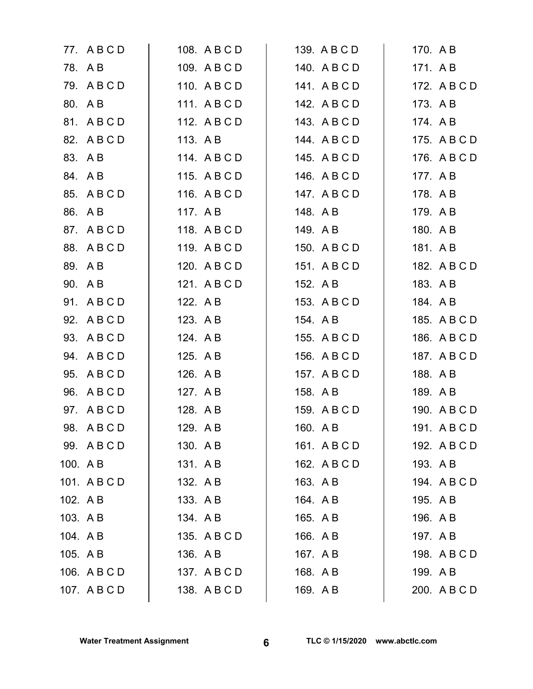|          | 77. A B C D  |          | 108. A B C D | 139. A B C D | 170. A B |              |
|----------|--------------|----------|--------------|--------------|----------|--------------|
|          | 78. AB       |          | 109. ABCD    | 140. ABCD    | 171. AB  |              |
|          | 79. ABCD     |          | 110. A B C D | 141. ABCD    |          | 172. A B C D |
|          | 80. A B      |          | 111. ABCD    | 142. A B C D | 173. A B |              |
|          | 81. A B C D  |          | 112. A B C D | 143. ABCD    | 174. A B |              |
|          | 82. A B C D  | 113. A B |              | 144. ABCD    |          | 175. A B C D |
|          | 83. A B      |          | 114. A B C D | 145. A B C D |          | 176. A B C D |
|          | 84. A B      |          | 115. ABCD    | 146. A B C D | 177. A B |              |
|          | 85. A B C D  |          | 116. A B C D | 147. A B C D | 178. A B |              |
|          | 86. A B      | 117. A B |              | 148. A B     | 179. A B |              |
|          | 87. A B C D  |          | 118. A B C D | 149. AB      | 180. A B |              |
|          | 88. A B C D  |          | 119. ABCD    | 150. A B C D | 181. AB  |              |
|          | 89. AB       |          | 120. A B C D | 151. A B C D |          | 182. A B C D |
|          | 90. A B      |          | 121. ABCD    | 152. A B     | 183. A B |              |
|          | 91. ABCD     | 122. A B |              | 153. A B C D | 184. A B |              |
|          | 92. A B C D  | 123. A B |              | 154. A B     |          | 185. A B C D |
|          | 93. A B C D  | 124. A B |              | 155. A B C D |          | 186. A B C D |
|          | 94. A B C D  | 125. A B |              | 156. A B C D |          | 187. A B C D |
|          | 95. A B C D  | 126. A B |              | 157. A B C D | 188. A B |              |
|          | 96. ABCD     | 127. A B |              | 158. A B     | 189. AB  |              |
|          | 97. A B C D  | 128. A B |              | 159. A B C D |          | 190. A B C D |
|          | 98. ABCD     | 129. AB  |              | 160. A B     |          | 191. ABCD    |
|          | 99. ABCD     | 130. A B |              | 161. A B C D |          | 192. A B C D |
|          | 100. A B     | 131. AB  |              | 162. A B C D | 193. A B |              |
|          | 101. ABCD    | 132. A B |              | 163. A B     |          | 194. A B C D |
| 102. AB  |              | 133. AB  |              | 164. AB      | 195. A B |              |
| 103. AB  |              | 134. A B |              | 165. A B     | 196. A B |              |
| 104. A B |              |          | 135. A B C D | 166. A B     | 197. AB  |              |
| 105. A B |              | 136. A B |              | 167. A B     |          | 198. A B C D |
|          | 106. A B C D |          | 137. ABCD    | 168. A B     | 199. A B |              |
|          | 107. ABCD    |          | 138. A B C D | 169. AB      |          | 200. A B C D |
|          |              |          |              |              |          |              |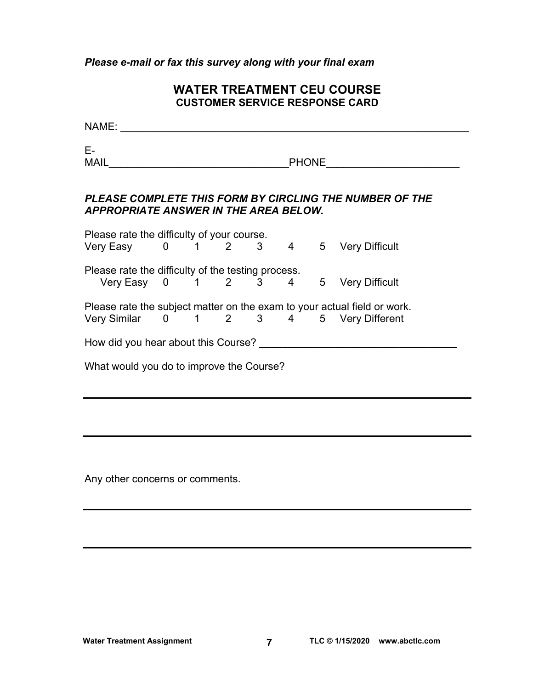*Please e-mail or fax this survey along with your final exam* 

# **WATER TREATMENT CEU COURSE CUSTOMER SERVICE RESPONSE CARD**

| NAME:                                                                                      |  |  |  |                                                                          |
|--------------------------------------------------------------------------------------------|--|--|--|--------------------------------------------------------------------------|
| E-<br>MAIL                                                                                 |  |  |  | PHONE <u>_________</u>                                                   |
| APPROPRIATE ANSWER IN THE AREA BELOW.                                                      |  |  |  | PLEASE COMPLETE THIS FORM BY CIRCLING THE NUMBER OF THE                  |
| Please rate the difficulty of your course.<br>Very Easy 0 1 2 3 4 5 Very Difficult         |  |  |  |                                                                          |
| Please rate the difficulty of the testing process.<br>Very Easy 0 1 2 3 4 5 Very Difficult |  |  |  |                                                                          |
| Very Similar 0 1 2 3 4 5 Very Different                                                    |  |  |  | Please rate the subject matter on the exam to your actual field or work. |
|                                                                                            |  |  |  | How did you hear about this Course?                                      |
| What would you do to improve the Course?                                                   |  |  |  |                                                                          |

Any other concerns or comments.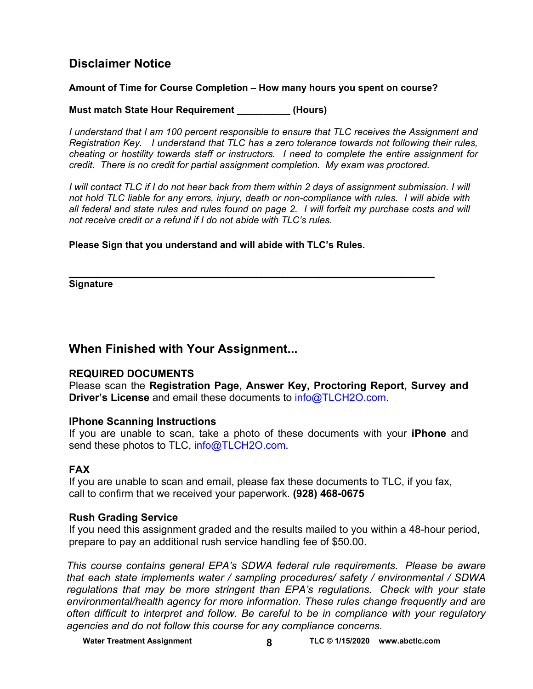# **Disclaimer Notice**

# **Amount of Time for Course Completion – How many hours you spent on course?**

**Must match State Hour Requirement \_\_\_\_\_\_\_\_\_\_ (Hours)** 

*I understand that I am 100 percent responsible to ensure that TLC receives the Assignment and Registration Key. I understand that TLC has a zero tolerance towards not following their rules, cheating or hostility towards staff or instructors. I need to complete the entire assignment for credit. There is no credit for partial assignment completion. My exam was proctored.* 

*I* will contact TLC if I do not hear back from them within 2 days of assignment submission. I will *not hold TLC liable for any errors, injury, death or non-compliance with rules. I will abide with all federal and state rules and rules found on page 2. I will forfeit my purchase costs and will not receive credit or a refund if I do not abide with TLC's rules.* 

**Please Sign that you understand and will abide with TLC's Rules.** 

**\_\_\_\_\_\_\_\_\_\_\_\_\_\_\_\_\_\_\_\_\_\_\_\_\_\_\_\_\_\_\_\_\_\_\_\_\_\_\_\_\_\_\_\_\_\_\_\_\_\_\_\_\_\_ Signature** 

# **When Finished with Your Assignment...**

# **REQUIRED DOCUMENTS**

Please scan the **Registration Page, Answer Key, Proctoring Report, Survey and Driver's License** and email these documents to [info@TLCH2O.com.](mailto:info@TLCH2O.com) 

# **IPhone Scanning Instructions**

If you are unable to scan, take a photo of these documents with your **iPhone** and send these photos to TLC, info@TLCH2O.com.

# **FAX**

If you are unable to scan and email, please fax these documents to TLC, if you fax, call to confirm that we received your paperwork. **(928) 468-0675** 

# **Rush Grading Service**

If you need this assignment graded and the results mailed to you within a 48-hour period, prepare to pay an additional rush service handling fee of \$50.00.

*This course contains general EPA's SDWA federal rule requirements. Please be aware that each state implements water / sampling procedures/ safety / environmental / SDWA regulations that may be more stringent than EPA's regulations. Check with your state environmental/health agency for more information. These rules change frequently and are often difficult to interpret and follow. Be careful to be in compliance with your regulatory agencies and do not follow this course for any compliance concerns.*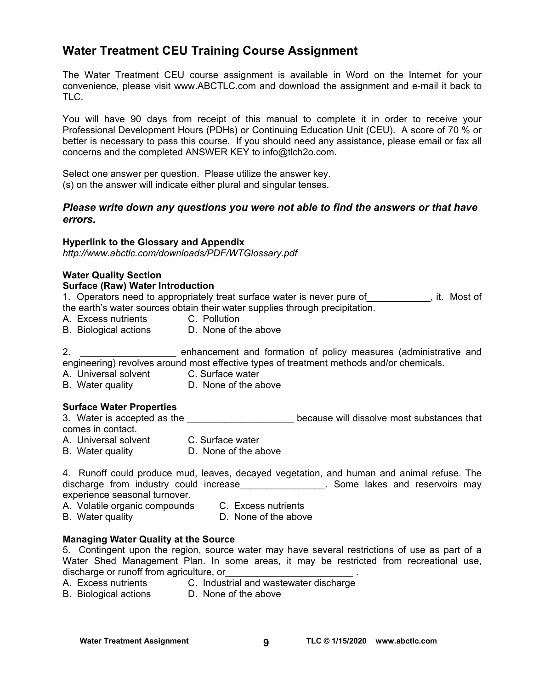# **Water Treatment CEU Training Course Assignment**

The Water Treatment CEU course assignment is available in Word on the Internet for your convenience, please visit [www.ABCTLC.com an](http://www.ABCTLC.com)d download the assignment and e-mail it back to TLC.

You will have 90 days from receipt of this manual to complete it in order to receive your Professional Development Hours (PDHs) or Continuing Education Unit (CEU). A score of 70 % or better is necessary to pass this course. If you should need any assistance, please email or fax all concerns and the completed ANSWER KEY to [info@tlch2o.com.](mailto:info@tlch2o.com) 

Select one answer per question. Please utilize the answer key. (s) on the answer will indicate either plural and singular tenses.

# *Please write down any questions you were not able to find the answers or that have errors.*

#### **Hyperlink to the Glossary and Appendix**

*<http://www.abctlc.com/downloads/PDF/WTGlossary.pdf>*

#### **Water Quality Section**

#### **Surface (Raw) Water Introduction**

1. Operators need to appropriately treat surface water is never pure of Theorem it. Most of the earth's water sources obtain their water supplies through precipitation.

- A. Excess nutrients C. Pollution
- B. Biological actions D. None of the above

2. **We construct and formation of policy measures (administrative and** engineering) revolves around most effective types of treatment methods and/or chemicals.

- A. Universal solvent C. Surface water
- B. Water quality **D. None of the above**

# **Surface Water Properties**

3. Water is accepted as the \_\_\_\_\_\_\_\_\_\_\_\_\_\_\_\_\_\_\_\_\_\_\_\_ because will dissolve most substances that comes in contact.

- A. Universal solvent C. Surface water
- B. Water quality **D. None of the above**

|  |                                        |  | 4. Runoff could produce mud, leaves, decayed vegetation, and human and animal refuse. The |  |  |                                 |  |
|--|----------------------------------------|--|-------------------------------------------------------------------------------------------|--|--|---------------------------------|--|
|  | discharge from industry could increase |  |                                                                                           |  |  | . Some lakes and reservoirs may |  |
|  | experience seasonal turnover.          |  |                                                                                           |  |  |                                 |  |

- A. Volatile organic compounds C. Excess nutrients
	-
- B. Water quality **D.** None of the above

# **Managing Water Quality at the Source**

5. Contingent upon the region, source water may have several restrictions of use as part of a Water Shed Management Plan. In some areas, it may be restricted from recreational use, discharge or runoff from agriculture, or

- A. Excess nutrients **C. Industrial and wastewater discharge**
- B. Biological actions D. None of the above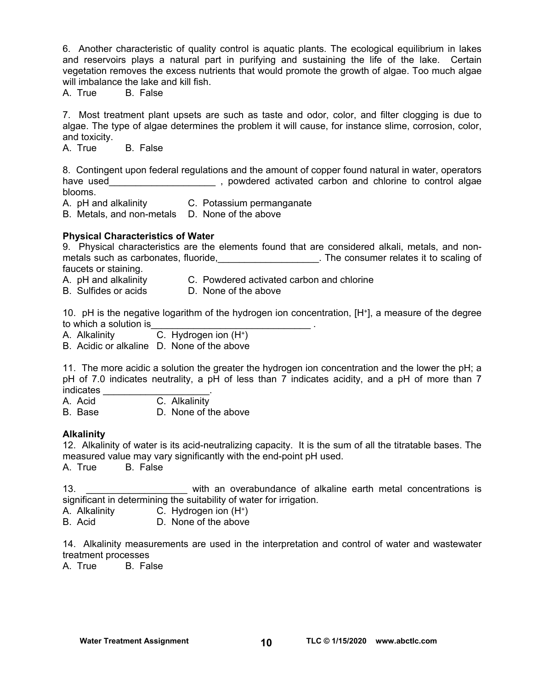6. Another characteristic of quality control is aquatic plants. The ecological equilibrium in lakes and reservoirs plays a natural part in purifying and sustaining the life of the lake. Certain vegetation removes the excess nutrients that would promote the growth of algae. Too much algae will imbalance the lake and kill fish.

A. True B. False

7. Most treatment plant upsets are such as taste and odor, color, and filter clogging is due to algae. The type of algae determines the problem it will cause, for instance slime, corrosion, color, and toxicity.

A. True B. False

8. Contingent upon federal regulations and the amount of copper found natural in water, operators have used\_\_\_\_\_\_\_\_\_\_\_\_\_\_\_\_\_\_\_\_\_\_\_\_\_, powdered activated carbon and chlorine to control algae blooms.

A. pH and alkalinity C. Potassium permanganate

B. Metals, and non-metals D. None of the above

#### **Physical Characteristics of Water**

9. Physical characteristics are the elements found that are considered alkali, metals, and nonmetals such as carbonates, fluoride, the consumer relates it to scaling of faucets or staining.

- A. pH and alkalinity C. Powdered activated carbon and chlorine
- B. Sulfides or acids D. None of the above

10. pH is the negative logarithm of the hydrogen ion concentration, [H+], a measure of the degree to which a solution is

A. Alkalinity  $\overline{C}$ . Hydrogen ion  $(H^+)$ 

B. Acidic or alkaline D. None of the above

11. The more acidic a solution the greater the hydrogen ion concentration and the lower the pH; a pH of 7.0 indicates neutrality, a pH of less than 7 indicates acidity, and a pH of more than 7 indicates

A. Acid C. Alkalinity

B. Base D. None of the above

#### **Alkalinity**

12. Alkalinity of water is its acid-neutralizing capacity. It is the sum of all the titratable bases. The measured value may vary significantly with the end-point pH used.

A. True B. False

13. \_\_\_\_\_\_\_\_\_\_\_\_\_\_\_\_\_\_\_ with an overabundance of alkaline earth metal concentrations is significant in determining the suitability of water for irrigation.

A. Alkalinity C. Hydrogen ion (H+)

B. Acid D. None of the above

14. Alkalinity measurements are used in the interpretation and control of water and wastewater treatment processes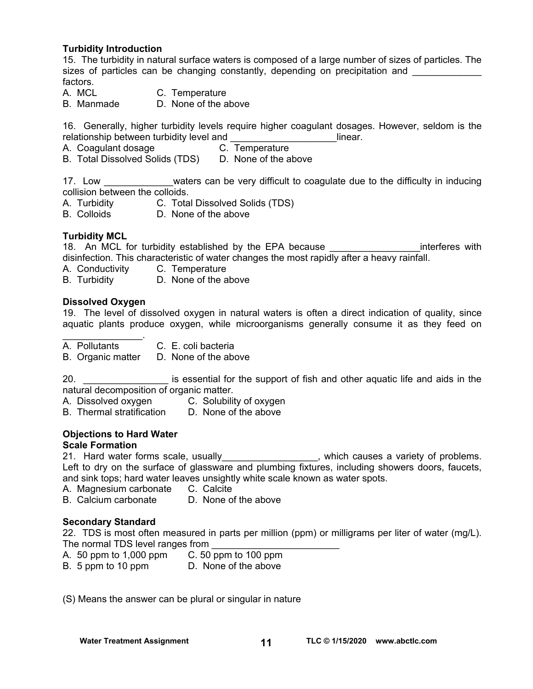# **Turbidity Introduction**

15. The turbidity in natural surface waters is composed of a large number of sizes of particles. The sizes of particles can be changing constantly, depending on precipitation and factors.

A. MCL C. Temperature

B. Manmade D. None of the above

16. Generally, higher turbidity levels require higher coagulant dosages. However, seldom is the relationship between turbidity level and **Example 2018** 11 linear.

A. Coagulant dosage **C. Temperature** 

B. Total Dissolved Solids (TDS) D. None of the above

17. Low **EXA WE** waters can be very difficult to coagulate due to the difficulty in inducing collision between the colloids.

A. Turbidity C. Total Dissolved Solids (TDS)

B. Colloids D. None of the above

# **Turbidity MCL**

18. An MCL for turbidity established by the EPA because **EXAL and SIME interferes with** disinfection. This characteristic of water changes the most rapidly after a heavy rainfall.

A. Conductivity C. Temperature

B. Turbidity D. None of the above

#### **Dissolved Oxygen**

 $\mathcal{L}=\mathcal{L}^{\mathcal{L}}$ 

19. The level of dissolved oxygen in natural waters is often a direct indication of quality, since aquatic plants produce oxygen, while microorganisms generally consume it as they feed on

- A. Pollutants C. E. coli bacteria
- B. Organic matter D. None of the above

20. **Example 20.** Some is essential for the support of fish and other aquatic life and aids in the natural decomposition of organic matter.

- A. Dissolved oxygen C. Solubility of oxygen
- B. Thermal stratification D. None of the above

# **Objections to Hard Water**

# **Scale Formation**

21. Hard water forms scale, usually exactled a variety of problems. Left to dry on the surface of glassware and plumbing fixtures, including showers doors, faucets, and sink tops; hard water leaves unsightly white scale known as water spots.

- A. Magnesium carbonate C. Calcite
- B. Calcium carbonate D. None of the above

#### **Secondary Standard**

22. TDS is most often measured in parts per million (ppm) or milligrams per liter of water (mg/L). The normal TDS level ranges from

- A. 50 ppm to 1,000 ppm C. 50 ppm to 100 ppm
- B. 5 ppm to 10 ppm D. None of the above

(S) Means the answer can be plural or singular in nature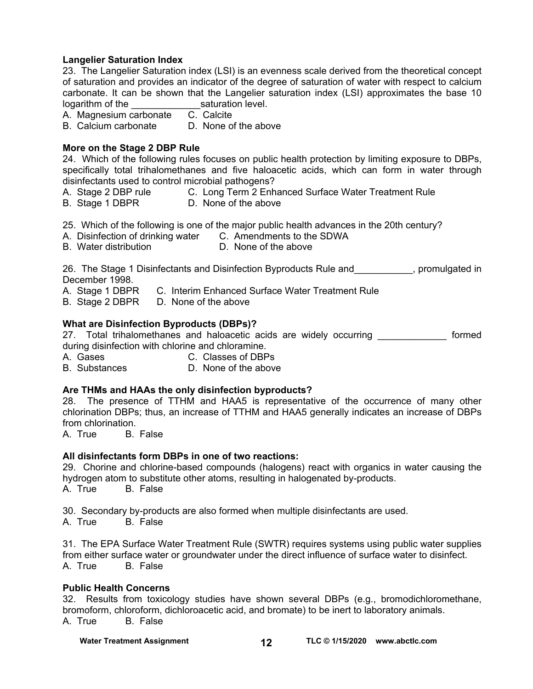#### **Langelier Saturation Index**

23. The Langelier Saturation index (LSI) is an evenness scale derived from the theoretical concept of saturation and provides an indicator of the degree of saturation of water with respect to calcium carbonate. It can be shown that the Langelier saturation index (LSI) approximates the base 10 logarithm of the  $\frac{\ }{\ }$  saturation level.<br>A Magnesium carbonate  $\frac{\ }{\ }$  C. Calcite

A. Magnesium carbonate C. Calcite<br>B. Calcium carbonate D. None of the above B. Calcium carbonate

#### **More on the Stage 2 DBP Rule**

24. Which of the following rules focuses on public health protection by limiting exposure to DBPs, specifically total trihalomethanes and five haloacetic acids, which can form in water through disinfectants used to control microbial pathogens?

- A. Stage 2 DBP rule **C. Long Term 2 Enhanced Surface Water Treatment Rule**
- B. Stage 1 DBPR D. None of the above

25. Which of the following is one of the major public health advances in the 20th century?

- A. Disinfection of drinking water C. Amendments to the SDWA
- B. Water distribution **D. None of the above**

26. The Stage 1 Disinfectants and Disinfection Byproducts Rule and \_\_\_\_\_\_\_\_\_\_, promulgated in December 1998.

A. Stage 1 DBPR C. Interim Enhanced Surface Water Treatment Rule

B. Stage 2 DBPR D. None of the above

#### **What are Disinfection Byproducts (DBPs)?**

27. Total trihalomethanes and haloacetic acids are widely occurring \_\_\_\_\_\_\_\_\_\_\_\_\_ formed during disinfection with chlorine and chloramine.

A. Gases C. Classes of DBPs

B. Substances D. None of the above

# **Are THMs and HAAs the only disinfection byproducts?**

28. The presence of TTHM and HAA5 is representative of the occurrence of many other chlorination DBPs; thus, an increase of TTHM and HAA5 generally indicates an increase of DBPs from chlorination.

A. True B. False

# **All disinfectants form DBPs in one of two reactions:**

29. Chorine and chlorine-based compounds (halogens) react with organics in water causing the hydrogen atom to substitute other atoms, resulting in halogenated by-products. A. True B. False

30. Secondary by-products are also formed when multiple disinfectants are used.<br>A. True B. False

B. False

31. The EPA Surface Water Treatment Rule (SWTR) requires systems using public water supplies from either surface water or groundwater under the direct influence of surface water to disinfect. A. True B. False

#### **Public Health Concerns**

32. Results from toxicology studies have shown several DBPs (e.g., bromodichloromethane, bromoform, chloroform, dichloroacetic acid, and bromate) to be inert to laboratory animals. A. True B. False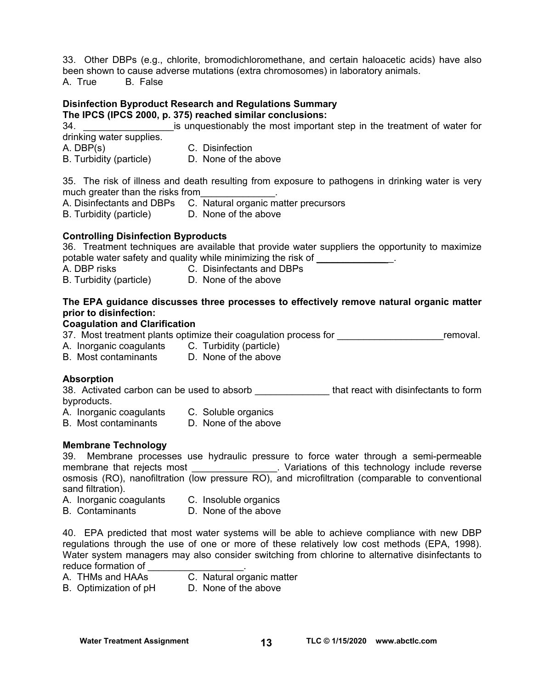33. Other DBPs (e.g., chlorite, bromodichloromethane, and certain haloacetic acids) have also been shown to cause adverse mutations (extra chromosomes) in laboratory animals. A. True B. False

# **Disinfection Byproduct Research and Regulations Summary**

**The IPCS (IPCS 2000, p. 375) reached similar conclusions:** 

34. \_\_\_\_\_\_\_\_\_\_\_\_\_\_\_\_\_is unquestionably the most important step in the treatment of water for drinking water supplies.

- A. DBP(s) C. Disinfection
- B. Turbidity (particle) D. None of the above

35. The risk of illness and death resulting from exposure to pathogens in drinking water is very much greater than the risks from

A. Disinfectants and DBPs C. Natural organic matter precursors

B. Turbidity (particle) D. None of the above

# **Controlling Disinfection Byproducts**

36. Treatment techniques are available that provide water suppliers the opportunity to maximize potable water safety and quality while minimizing the risk of  $\sim$ 

A. DBP risks C. Disinfectants and DBPs

B. Turbidity (particle) D. None of the above

# **The EPA guidance discusses three processes to effectively remove natural organic matter prior to disinfection:**

#### **Coagulation and Clarification**

37. Most treatment plants optimize their coagulation process for **Example 2018** removal.

- A. Inorganic coagulants C. Turbidity (particle)
- B. Most contaminants D. None of the above

# **Absorption**

38. Activated carbon can be used to absorb **that react with disinfectants to form** byproducts.

- A. Inorganic coagulants C. Soluble organics
- B. Most contaminants D. None of the above

# **Membrane Technology**

39. Membrane processes use hydraulic pressure to force water through a semi-permeable membrane that rejects most **Exercise 12** membrane that rejects most and the verse contractions of this technology include reverse osmosis (RO), nanofiltration (low pressure RO), and microfiltration (comparable to conventional sand filtration).

- A. Inorganic coagulants C. Insoluble organics
- B. Contaminants D. None of the above

40. EPA predicted that most water systems will be able to achieve compliance with new DBP regulations through the use of one or more of these relatively low cost methods (EPA, 1998). Water system managers may also consider switching from chlorine to alternative disinfectants to reduce formation of \_\_\_\_\_\_\_\_\_\_\_\_\_\_\_\_\_\_.

- A. THMs and HAAs C. Natural organic matter
- B. Optimization of pH D. None of the above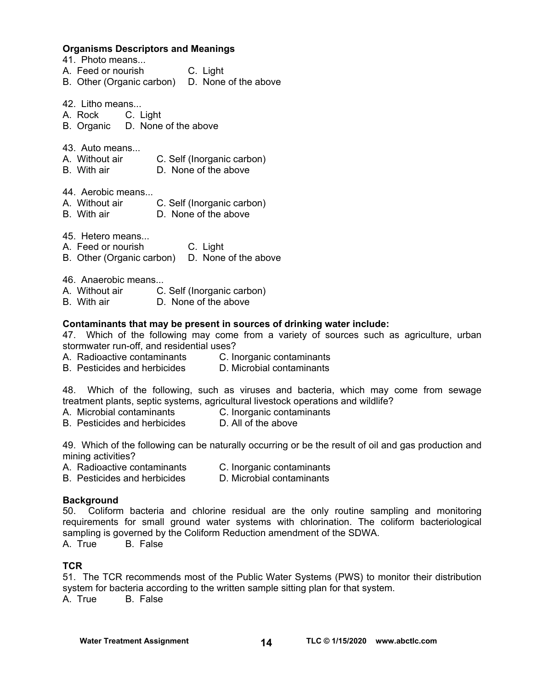#### **Organisms Descriptors and Meanings**

- 41. Photo means...
- A. Feed or nourish C. Light
- B. Other (Organic carbon) D. None of the above
- 42. Litho means...
- A. Rock C. Light
- B. Organic D. None of the above
- 43. Auto means...
- A. Without air C. Self (Inorganic carbon)
- B. With air D. None of the above

44. Aerobic means...

- A. Without air C. Self (Inorganic carbon)
- B. With air D. None of the above

45. Hetero means...

- A. Feed or nourish C. Light
- B. Other (Organic carbon) D. None of the above
- 46. Anaerobic means...
- A. Without air C. Self (Inorganic carbon)
- B. With air D. None of the above

#### **Contaminants that may be present in sources of drinking water include:**

47. Which of the following may come from a variety of sources such as agriculture, urban stormwater run-off, and residential uses?

- A. Radioactive contaminants C. Inorganic contaminants
- B. Pesticides and herbicides D. Microbial contaminants

48. Which of the following, such as viruses and bacteria, which may come from sewage treatment plants, septic systems, agricultural livestock operations and wildlife?

- A. Microbial contaminants C. Inorganic contaminants
- B. Pesticides and herbicides D. All of the above

49. Which of the following can be naturally occurring or be the result of oil and gas production and mining activities?

- A. Radioactive contaminants C. Inorganic contaminants
- B. Pesticides and herbicides D. Microbial contaminants

#### **Background**

50. Coliform bacteria and chlorine residual are the only routine sampling and monitoring requirements for small ground water systems with chlorination. The coliform bacteriological sampling is governed by the Coliform Reduction amendment of the SDWA.

A. True B. False

# **TCR**

51. The TCR recommends most of the Public Water Systems (PWS) to monitor their distribution system for bacteria according to the written sample sitting plan for that system. A. True B. False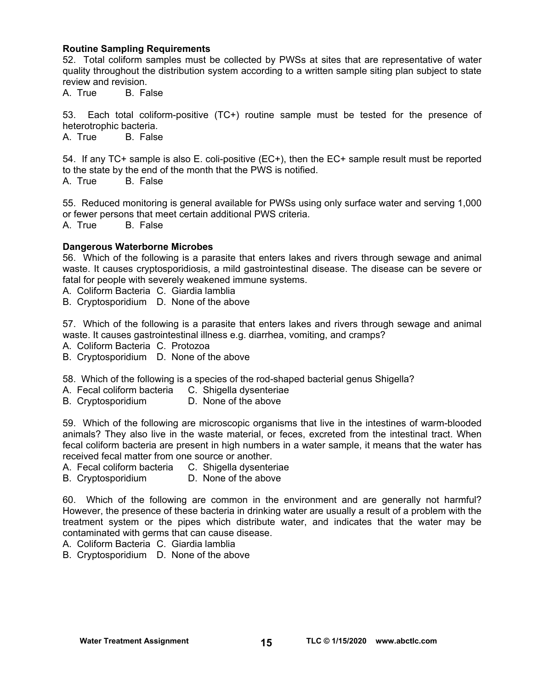# **Routine Sampling Requirements**

52. Total coliform samples must be collected by PWSs at sites that are representative of water quality throughout the distribution system according to a written sample siting plan subject to state review and revision.

A. True B. False

53. Each total coliform-positive (TC+) routine sample must be tested for the presence of heterotrophic bacteria.

A. True B. False

54. If any TC+ sample is also E. coli-positive (EC+), then the EC+ sample result must be reported to the state by the end of the month that the PWS is notified. A. True B. False

55. Reduced monitoring is general available for PWSs using only surface water and serving 1,000 or fewer persons that meet certain additional PWS criteria. A. True B. False

# **Dangerous Waterborne Microbes**

56. Which of the following is a parasite that enters lakes and rivers through sewage and animal waste. It causes cryptosporidiosis, a mild gastrointestinal disease. The disease can be severe or fatal for people with severely weakened immune systems.

A. Coliform Bacteria C. Giardia lamblia

B. Cryptosporidium D. None of the above

57. Which of the following is a parasite that enters lakes and rivers through sewage and animal waste. It causes gastrointestinal illness e.g. diarrhea, vomiting, and cramps?

A. Coliform Bacteria C. Protozoa

B. Cryptosporidium D. None of the above

58. Which of the following is a species of the rod-shaped bacterial genus Shigella?

- A. Fecal coliform bacteria C. Shigella dysenteriae
- B. Cryptosporidium D. None of the above

59. Which of the following are microscopic organisms that live in the intestines of warm-blooded animals? They also live in the waste material, or feces, excreted from the intestinal tract. When fecal coliform bacteria are present in high numbers in a water sample, it means that the water has received fecal matter from one source or another.

- A. Fecal coliform bacteria C. Shigella dysenteriae
- B. Cryptosporidium D. None of the above

60. Which of the following are common in the environment and are generally not harmful? However, the presence of these bacteria in drinking water are usually a result of a problem with the treatment system or the pipes which distribute water, and indicates that the water may be contaminated with germs that can cause disease.

A. Coliform Bacteria C. Giardia lamblia

B. Cryptosporidium D. None of the above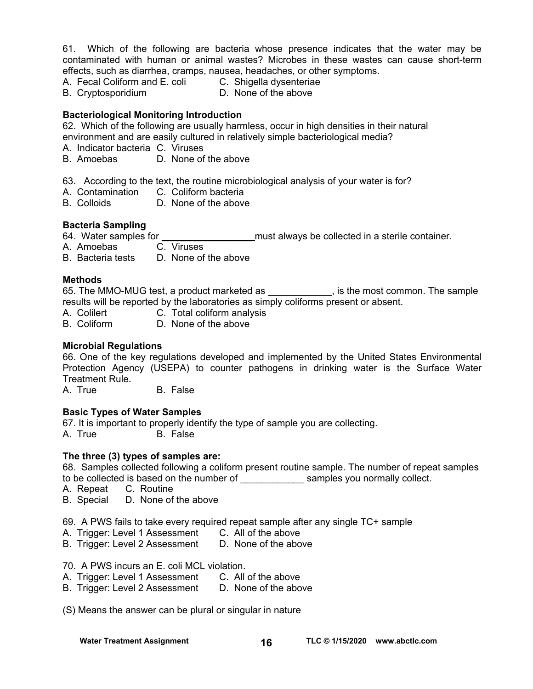61. Which of the following are bacteria whose presence indicates that the water may be contaminated with human or animal wastes? Microbes in these wastes can cause short-term effects, such as diarrhea, cramps, nausea, headaches, or other symptoms.

- A. Fecal Coliform and E. coli C. Shigella dysenteriae
- B. Cryptosporidium D. None of the above

# **Bacteriological Monitoring Introduction**

62. Which of the following are usually harmless, occur in high densities in their natural environment and are easily cultured in relatively simple bacteriological media?

- A. Indicator bacteria C. Viruses
- B. Amoebas D. None of the above
- 63. According to the text, the routine microbiological analysis of your water is for?
- A. Contamination C. Coliform bacteria
- B. Colloids D. None of the above

# **Bacteria Sampling**

64. Water samples for **the samples of the same of the same of the sterile container.** 

- A. Amoebas C. Viruses
- B. Bacteria tests D. None of the above

#### **Methods**

65. The MMO-MUG test, a product marketed as \_\_\_\_\_\_\_\_\_\_\_\_, is the most common. The sample results will be reported by the laboratories as simply coliforms present or absent.

- A. Colilert C. Total coliform analysis
- B. Coliform D. None of the above

# **Microbial Regulations**

66. One of the key regulations developed and implemented by the United States Environmental Protection Agency (USEPA) to counter pathogens in drinking water is the Surface Water Treatment Rule.

A. True B. False

# **Basic Types of Water Samples**

67. It is important to properly identify the type of sample you are collecting. A. True B. False

#### **The three (3) types of samples are:**

68. Samples collected following a coliform present routine sample. The number of repeat samples to be collected is based on the number of \_\_\_\_\_\_\_\_\_\_\_\_ samples you normally collect.

- A. Repeat C. Routine
- B. Special D. None of the above

69. A PWS fails to take every required repeat sample after any single TC+ sample

- A. Trigger: Level 1 Assessment C. All of the above
- B. Trigger: Level 2 Assessment D. None of the above

70. A PWS incurs an E. coli MCL violation.

- A. Trigger: Level 1 Assessment C. All of the above
- B. Trigger: Level 2 Assessment D. None of the above
- (S) Means the answer can be plural or singular in nature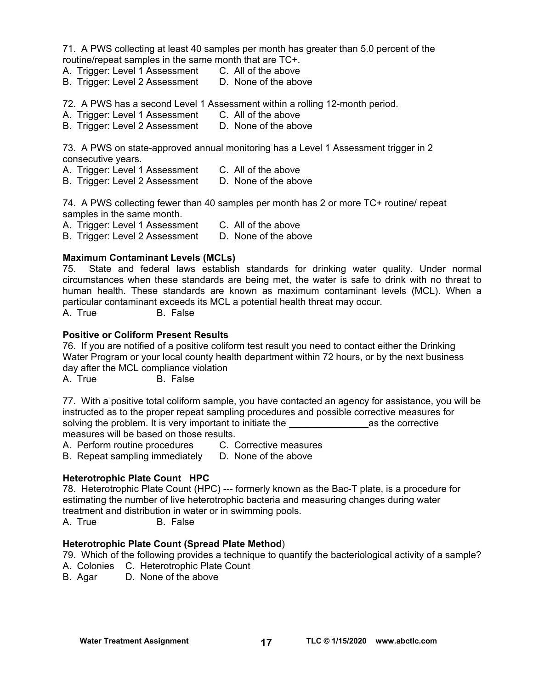71. A PWS collecting at least 40 samples per month has greater than 5.0 percent of the routine/repeat samples in the same month that are TC+.

- A. Trigger: Level 1 Assessment C. All of the above
- B. Trigger: Level 2 Assessment D. None of the above

72. A PWS has a second Level 1 Assessment within a rolling 12-month period.

- A. Trigger: Level 1 Assessment C. All of the above
- B. Trigger: Level 2 Assessment D. None of the above

73. A PWS on state-approved annual monitoring has a Level 1 Assessment trigger in 2 consecutive years.

- A. Trigger: Level 1 Assessment C. All of the above
- B. Trigger: Level 2 Assessment D. None of the above

74. A PWS collecting fewer than 40 samples per month has 2 or more TC+ routine/ repeat samples in the same month.

A. Trigger: Level 1 Assessment C. All of the above

B. Trigger: Level 2 Assessment D. None of the above

#### **Maximum Contaminant Levels (MCLs)**

75. State and federal laws establish standards for drinking water quality. Under normal circumstances when these standards are being met, the water is safe to drink with no threat to human health. These standards are known as maximum contaminant levels (MCL). When a particular contaminant exceeds its MCL a potential health threat may occur.

A. True B. False

#### **Positive or Coliform Present Results**

76. If you are notified of a positive coliform test result you need to contact either the Drinking Water Program or your local county health department within 72 hours, or by the next business day after the MCL compliance violation

A. True B. False

77. With a positive total coliform sample, you have contacted an agency for assistance, you will be instructed as to the proper repeat sampling procedures and possible corrective measures for solving the problem. It is very important to initiate the \_\_\_\_\_\_\_\_\_\_\_\_\_\_\_as the corrective measures will be based on those results.<br>A. Perform routine procedures C. Corrective measures

A. Perform routine procedures

B. Repeat sampling immediately D. None of the above

# **Heterotrophic Plate Count HPC**

78. Heterotrophic Plate Count (HPC) --- formerly known as the Bac-T plate, is a procedure for estimating the number of live heterotrophic bacteria and measuring changes during water treatment and distribution in water or in swimming pools.

A. True B. False

# **Heterotrophic Plate Count (Spread Plate Method**)

79. Which of the following provides a technique to quantify the bacteriological activity of a sample?

- A. Colonies C. Heterotrophic Plate Count
- B. Agar D. None of the above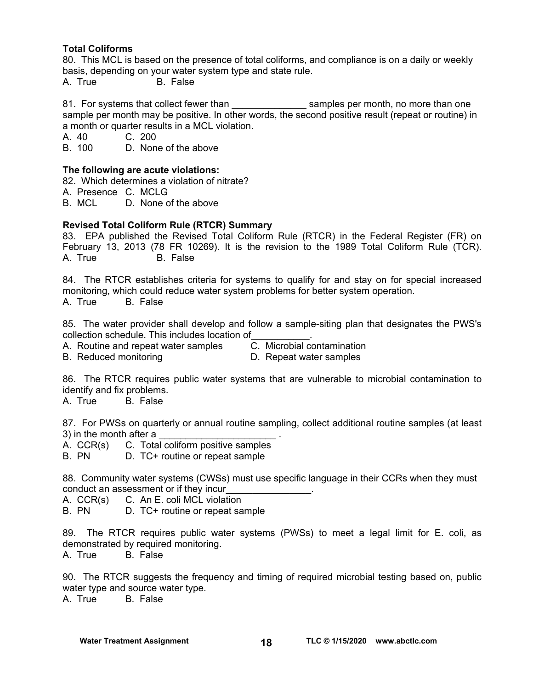# **Total Coliforms**

80. This MCL is based on the presence of total coliforms, and compliance is on a daily or weekly basis, depending on your water system type and state rule. A. True B. False

81. For systems that collect fewer than started as amples per month, no more than one sample per month may be positive. In other words, the second positive result (repeat or routine) in a month or quarter results in a MCL violation.

A. 40 C. 200

B. 100 D. None of the above

#### **The following are acute violations:**

82. Which determines a violation of nitrate?

- A. Presence C. MCLG
- B. MCL D. None of the above

# **Revised Total Coliform Rule (RTCR) Summary**

83. EPA published the Revised Total Coliform Rule (RTCR) in the Federal Register (FR) on February 13, 2013 (78 FR 10269). It is the revision to the 1989 Total Coliform Rule (TCR). A. True B. False

84. The RTCR establishes criteria for systems to qualify for and stay on for special increased monitoring, which could reduce water system problems for better system operation. A. True B. False

85. The water provider shall develop and follow a sample-siting plan that designates the PWS's collection schedule. This includes location of<br>A. Routine and repeat water samples <br>C. Microbial contamination

A. Routine and repeat water samples

- 
- B. Reduced monitoring D. Repeat water samples
- 

86. The RTCR requires public water systems that are vulnerable to microbial contamination to identify and fix problems.

A. True B. False

87. For PWSs on quarterly or annual routine sampling, collect additional routine samples (at least 3) in the month after a

- A. CCR(s) C. Total coliform positive samples
- B. PN D. TC+ routine or repeat sample

88. Community water systems (CWSs) must use specific language in their CCRs when they must conduct an assessment or if they incur\_\_\_\_\_\_\_\_\_\_\_\_\_\_\_\_.

- A. CCR(s) C. An E. coli MCL violation
- B. PN D. TC+ routine or repeat sample

89. The RTCR requires public water systems (PWSs) to meet a legal limit for E. coli, as demonstrated by required monitoring.

A. True B. False

90. The RTCR suggests the frequency and timing of required microbial testing based on, public water type and source water type.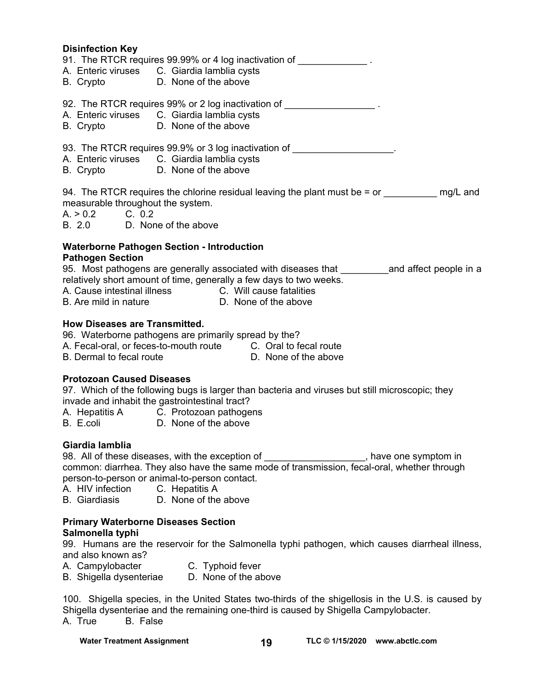# **Disinfection Key**  91. The RTCR requires 99.99% or 4 log inactivation of  $\blacksquare$ A. Enteric viruses C. Giardia lamblia cysts B. Crypto D. None of the above 92. The RTCR requires 99% or 2 log inactivation of  $\blacksquare$ A. Enteric viruses C. Giardia lamblia cysts B. Crypto D. None of the above 93. The RTCR requires 99.9% or 3 log inactivation of A. Enteric viruses C. Giardia lamblia cysts B. Crypto D. None of the above 94. The RTCR requires the chlorine residual leaving the plant must be  $=$  or  $\frac{mq}{L}$  and measurable throughout the system.  $A > 0.2$  C. 0.2 B. 2.0 D. None of the above **Waterborne Pathogen Section - Introduction Pathogen Section**  95. Most pathogens are generally associated with diseases that \_\_\_\_\_\_\_\_\_\_\_\_\_\_\_\_and affect people in a relatively short amount of time, generally a few days to two weeks. A. Cause intestinal illness C. Will cause fatalities B. Are mild in nature **D.** None of the above **How Diseases are Transmitted.**  96. Waterborne pathogens are primarily spread by the? A. Fecal-oral, or feces-to-mouth route C. Oral to fecal route B. Dermal to fecal route D. None of the above **Protozoan Caused Diseases**

97. Which of the following bugs is larger than bacteria and viruses but still microscopic; they invade and inhabit the gastrointestinal tract?

- A. Hepatitis A C. Protozoan pathogens
- B. E.coli D. None of the above

# **Giardia lamblia**

98. All of these diseases, with the exception of \_\_\_\_\_\_\_\_\_\_\_\_\_\_\_\_\_\_\_, have one symptom in common: diarrhea. They also have the same mode of transmission, fecal-oral, whether through person-to-person or animal-to-person contact.

- A. HIV infection C. Hepatitis A
- B. Giardiasis D. None of the above

# **Primary Waterborne Diseases Section Salmonella typhi**

99. Humans are the reservoir for the Salmonella typhi pathogen, which causes diarrheal illness, and also known as?

- A. Campylobacter **C. Typhoid fever**
- B. Shigella dysenteriae D. None of the above

100. Shigella species, in the United States two-thirds of the shigellosis in the U.S. is caused by Shigella dysenteriae and the remaining one-third is caused by Shigella Campylobacter.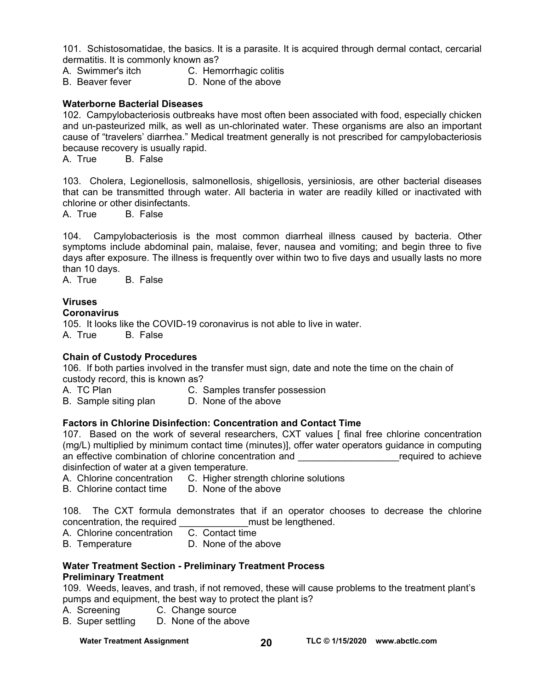101. Schistosomatidae, the basics. It is a parasite. It is acquired through dermal contact, cercarial dermatitis. It is commonly known as?

- A. Swimmer's itch C. Hemorrhagic colitis
- B. Beaver fever **D. None of the above**

# **Waterborne Bacterial Diseases**

102. Campylobacteriosis outbreaks have most often been associated with food, especially chicken and un-pasteurized milk, as well as un-chlorinated water. These organisms are also an important cause of "travelers' diarrhea." Medical treatment generally is not prescribed for campylobacteriosis because recovery is usually rapid.

A. True B. False

103. Cholera, Legionellosis, salmonellosis, shigellosis, yersiniosis, are other bacterial diseases that can be transmitted through water. All bacteria in water are readily killed or inactivated with chlorine or other disinfectants.

A. True B. False

104. Campylobacteriosis is the most common diarrheal illness caused by bacteria. Other symptoms include abdominal pain, malaise, fever, nausea and vomiting; and begin three to five days after exposure. The illness is frequently over within two to five days and usually lasts no more than 10 days.<br>A. True

B. False

# **Viruses**

#### **Coronavirus**

105. It looks like the COVID-19 coronavirus is not able to live in water. A. True B. False

#### **Chain of Custody Procedures**

106. If both parties involved in the transfer must sign, date and note the time on the chain of custody record, this is known as?

A. TC Plan C. Samples transfer possession

# B. Sample siting plan D. None of the above

#### **Factors in Chlorine Disinfection: Concentration and Contact Time**

107. Based on the work of several researchers, CXT values [ final free chlorine concentration (mg/L) multiplied by minimum contact time (minutes)], offer water operators guidance in computing an effective combination of chlorine concentration and **Example 20** achieve disinfection of water at a given temperature.

- A. Chlorine concentration C. Higher strength chlorine solutions
- B. Chlorine contact time D. None of the above

108. The CXT formula demonstrates that if an operator chooses to decrease the chlorine concentration, the required end all must be lengthened.

- A. Chlorine concentration C. Contact time
- B. Temperature D. None of the above

#### **Water Treatment Section - Preliminary Treatment Process Preliminary Treatment**

109. Weeds, leaves, and trash, if not removed, these will cause problems to the treatment plant's pumps and equipment, the best way to protect the plant is?

A. Screening C. Change source

B. Super settling D. None of the above

Water Treatment Assignment **TLC © 1/15/2020** www.abctlc.com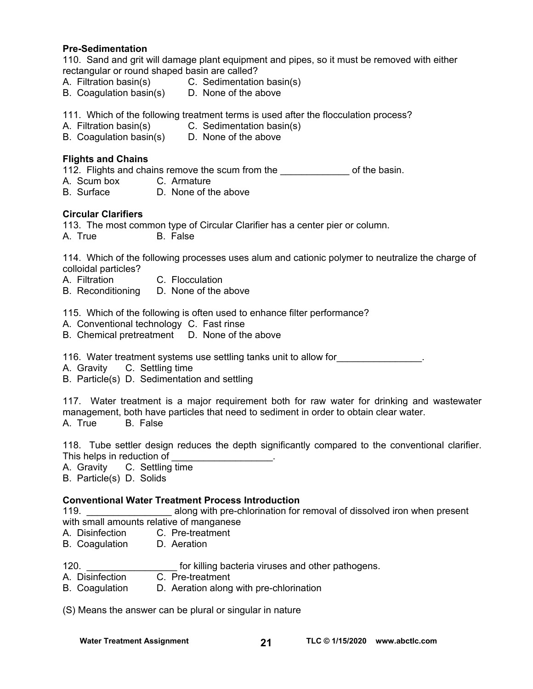#### **Pre-Sedimentation**

110. Sand and grit will damage plant equipment and pipes, so it must be removed with either rectangular or round shaped basin are called?

- A. Filtration basin(s) C. Sedimentation basin(s)
- B. Coagulation basin(s) D. None of the above

111. Which of the following treatment terms is used after the flocculation process?

- A. Filtration basin(s) C. Sedimentation basin(s)
- B. Coagulation basin(s) D. None of the above

# **Flights and Chains**

112. Flights and chains remove the scum from the **with the latter of the basin.** 

- A. Scum box C. Armature<br>B. Surface D. None of the
- D. None of the above

# **Circular Clarifiers**

113. The most common type of Circular Clarifier has a center pier or column.

A. True B. False

114. Which of the following processes uses alum and cationic polymer to neutralize the charge of colloidal particles?

- A. Filtration C. Flocculation
- B. Reconditioning D. None of the above

115. Which of the following is often used to enhance filter performance?

- A. Conventional technology C. Fast rinse
- B. Chemical pretreatment D. None of the above

116. Water treatment systems use settling tanks unit to allow for\_\_\_\_\_\_\_\_\_\_\_\_\_\_\_\_.

A. Gravity C. Settling time

B. Particle(s) D. Sedimentation and settling

117. Water treatment is a major requirement both for raw water for drinking and wastewater management, both have particles that need to sediment in order to obtain clear water. A. True B. False

118. Tube settler design reduces the depth significantly compared to the conventional clarifier. This helps in reduction of

A. Gravity C. Settling time

B. Particle(s) D. Solids

# **Conventional Water Treatment Process Introduction**

119. **\_\_\_\_\_\_\_\_\_\_\_\_\_\_\_\_\_\_\_** along with pre-chlorination for removal of dissolved iron when present with small amounts relative of manganese

- A. Disinfection C. Pre-treatment
- B. Coagulation D. Aeration
- 120. **Example 120. 120. Example 120. html** for killing bacteria viruses and other pathogens.
- A. Disinfection C. Pre-treatment<br>B. Coagulation D. Aeration along
- D. Aeration along with pre-chlorination

(S) Means the answer can be plural or singular in nature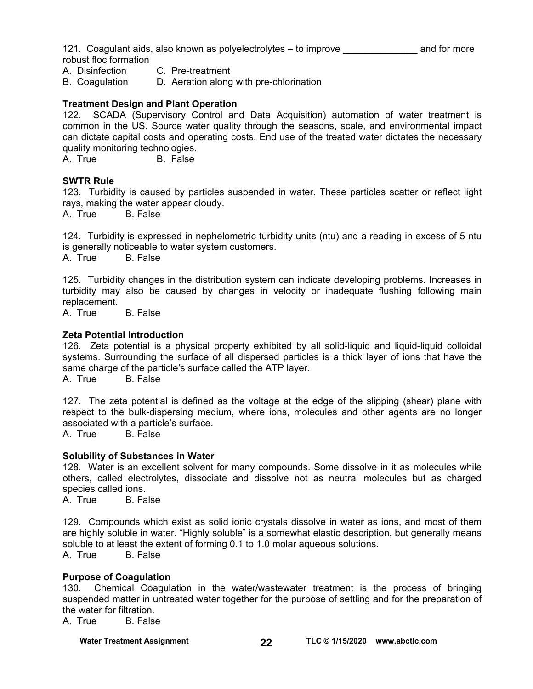121. Coagulant aids, also known as polyelectrolytes – to improve a measure and for more robust floc formation

- A. Disinfection C. Pre-treatment
- B. Coagulation D. Aeration along with pre-chlorination

#### **Treatment Design and Plant Operation**

122. SCADA (Supervisory Control and Data Acquisition) automation of water treatment is common in the US. Source water quality through the seasons, scale, and environmental impact can dictate capital costs and operating costs. End use of the treated water dictates the necessary quality monitoring technologies.

A. True B. False

#### **SWTR Rule**

123. Turbidity is caused by particles suspended in water. These particles scatter or reflect light rays, making the water appear cloudy.

A. True B. False

124. Turbidity is expressed in nephelometric turbidity units (ntu) and a reading in excess of 5 ntu is generally noticeable to water system customers. A. True B. False

125. Turbidity changes in the distribution system can indicate developing problems. Increases in turbidity may also be caused by changes in velocity or inadequate flushing following main replacement.

A. True B. False

#### **Zeta Potential Introduction**

126. Zeta potential is a physical property exhibited by all solid-liquid and liquid-liquid colloidal systems. Surrounding the surface of all dispersed particles is a thick layer of ions that have the same charge of the particle's surface called the ATP layer.

A. True B. False

127. The zeta potential is defined as the voltage at the edge of the slipping (shear) plane with respect to the bulk-dispersing medium, where ions, molecules and other agents are no longer associated with a particle's surface.

A. True B. False

#### **Solubility of Substances in Water**

128. Water is an excellent solvent for many compounds. Some dissolve in it as molecules while others, called electrolytes, dissociate and dissolve not as neutral molecules but as charged species called ions.

A. True B. False

129. Compounds which exist as solid ionic crystals dissolve in water as ions, and most of them are highly soluble in water. "Highly soluble" is a somewhat elastic description, but generally means soluble to at least the extent of forming 0.1 to 1.0 molar aqueous solutions.

A. True B. False

#### **Purpose of Coagulation**

130. Chemical Coagulation in the water/wastewater treatment is the process of bringing suspended matter in untreated water together for the purpose of settling and for the preparation of the water for filtration.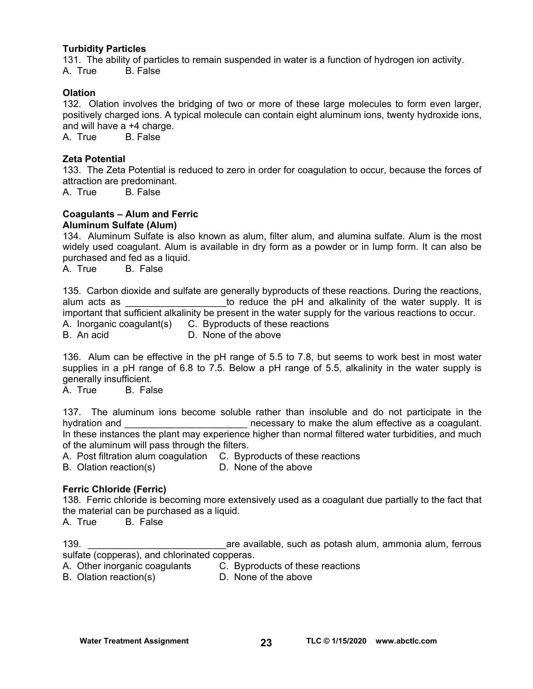#### **Turbidity Particles**

131. The ability of particles to remain suspended in water is a function of hydrogen ion activity. A. True B. False

#### **Olation**

132. Olation involves the bridging of two or more of these large molecules to form even larger, positively charged ions. A typical molecule can contain eight aluminum ions, twenty hydroxide ions, and will have a +4 charge.

A. True B. False

#### **Zeta Potential**

133. The Zeta Potential is reduced to zero in order for coagulation to occur, because the forces of attraction are predominant.

A. True B. False

# **Coagulants – Alum and Ferric Aluminum Sulfate (Alum)**

134. Aluminum Sulfate is also known as alum, filter alum, and alumina sulfate. Alum is the most widely used coagulant. Alum is available in dry form as a powder or in lump form. It can also be purchased and fed as a liquid.

A. True B. False

|              | 135. Carbon dioxide and sulfate are generally byproducts of these reactions. During the reactions,      |
|--------------|---------------------------------------------------------------------------------------------------------|
| alum acts as | to reduce the pH and alkalinity of the water supply. It is                                              |
|              | important that sufficient alkalinity be present in the water supply for the various reactions to occur. |
|              | A. Inorganic coagulant(s) C. Byproducts of these reactions                                              |
| B. An acid   | D. None of the above                                                                                    |

136. Alum can be effective in the pH range of 5.5 to 7.8, but seems to work best in most water supplies in a pH range of 6.8 to 7.5. Below a pH range of 5.5, alkalinity in the water supply is generally insufficient.

A. True B. False

137. The aluminum ions become soluble rather than insoluble and do not participate in the hydration and **the sum of the contract of the alum** effective as a coagulant. In these instances the plant may experience higher than normal filtered water turbidities, and much of the aluminum will pass through the filters.

A. Post filtration alum coagulation C. Byproducts of these reactions

B. Olation reaction(s) D. None of the above

#### **Ferric Chloride (Ferric)**

138. Ferric chloride is becoming more extensively used as a coagulant due partially to the fact that the material can be purchased as a liquid.

A. True B. False

139. \_\_\_\_\_\_\_\_\_\_\_\_\_\_\_\_\_\_\_\_\_\_\_\_\_\_are available, such as potash alum, ammonia alum, ferrous sulfate (copperas), and chlorinated copperas.

A. Other inorganic coagulants C. Byproducts of these reactions

B. Olation reaction(s) D. None of the above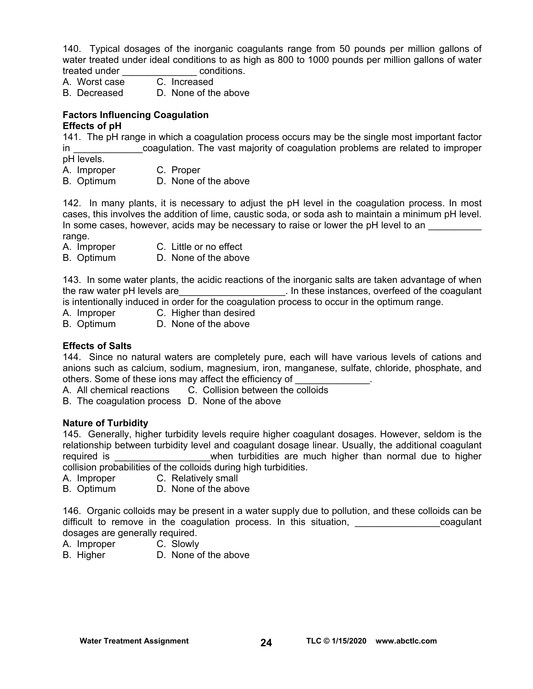140. Typical dosages of the inorganic coagulants range from 50 pounds per million gallons of water treated under ideal conditions to as high as 800 to 1000 pounds per million gallons of water treated under **Example 20** conditions.

A. Worst case C. Increased

B. Decreased D. None of the above

#### **Factors Influencing Coagulation Effects of pH**

141. The pH range in which a coagulation process occurs may be the single most important factor in **the coagulation.** The vast majority of coagulation problems are related to improper pH levels.

A. Improper C. Proper

B. Optimum D. None of the above

142. In many plants, it is necessary to adjust the pH level in the coagulation process. In most cases, this involves the addition of lime, caustic soda, or soda ash to maintain a minimum pH level. In some cases, however, acids may be necessary to raise or lower the pH level to an range.

- A. Improper C. Little or no effect
- B. Optimum D. None of the above

143. In some water plants, the acidic reactions of the inorganic salts are taken advantage of when the raw water pH levels are the raw water pH levels are the community of the coagulant is intentionally induced in order for the coagulation process to occur in the optimum range.

- A. Improper C. Higher than desired
- B. Optimum D. None of the above

# **Effects of Salts**

144. Since no natural waters are completely pure, each will have various levels of cations and anions such as calcium, sodium, magnesium, iron, manganese, sulfate, chloride, phosphate, and others. Some of these ions may affect the efficiency of

A. All chemical reactions C. Collision between the colloids

B. The coagulation process D. None of the above

# **Nature of Turbidity**

145. Generally, higher turbidity levels require higher coagulant dosages. However, seldom is the relationship between turbidity level and coagulant dosage linear. Usually, the additional coagulant required is **the contract in the state of the to the contract of the contract of the contract of the contract o** collision probabilities of the colloids during high turbidities.

- A. Improper C. Relatively small
- B. Optimum D. None of the above

146. Organic colloids may be present in a water supply due to pollution, and these colloids can be difficult to remove in the coagulation process. In this situation, the state of coagulant dosages are generally required.

- A. Improper C. Slowly
- B. Higher D. None of the above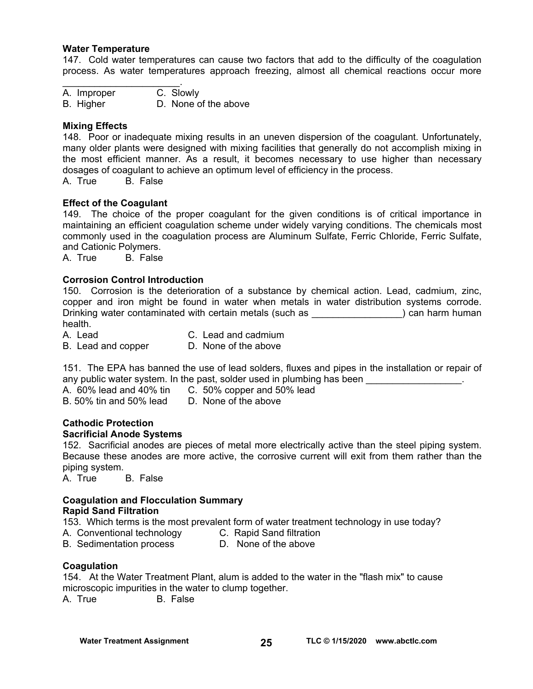#### **Water Temperature**

147. Cold water temperatures can cause two factors that add to the difficulty of the coagulation process. As water temperatures approach freezing, almost all chemical reactions occur more

 $\mathcal{L}_\text{max}$  , where  $\mathcal{L}_\text{max}$  is the set of  $\mathcal{L}_\text{max}$ A. Improper C. Slowly B. Higher D. None of the above

#### **Mixing Effects**

148. Poor or inadequate mixing results in an uneven dispersion of the coagulant. Unfortunately, many older plants were designed with mixing facilities that generally do not accomplish mixing in the most efficient manner. As a result, it becomes necessary to use higher than necessary dosages of coagulant to achieve an optimum level of efficiency in the process.

A. True B. False

#### **Effect of the Coagulant**

149. The choice of the proper coagulant for the given conditions is of critical importance in maintaining an efficient coagulation scheme under widely varying conditions. The chemicals most commonly used in the coagulation process are Aluminum Sulfate, Ferric Chloride, Ferric Sulfate, and Cationic Polymers.

A. True B. False

#### **Corrosion Control Introduction**

150. Corrosion is the deterioration of a substance by chemical action. Lead, cadmium, zinc, copper and iron might be found in water when metals in water distribution systems corrode. Drinking water contaminated with certain metals (such as  $\qquad$ ) can harm human health.

A. Lead C. Lead and cadmium B. Lead and copper D. None of the above

151. The EPA has banned the use of lead solders, fluxes and pipes in the installation or repair of any public water system. In the past, solder used in plumbing has been  $\blacksquare$ 

A. 60% lead and 40% tin C. 50% copper and 50% lead

B. 50% tin and 50% lead D. None of the above

# **Cathodic Protection**

#### **Sacrificial Anode Systems**

152. Sacrificial anodes are pieces of metal more electrically active than the steel piping system. Because these anodes are more active, the corrosive current will exit from them rather than the piping system.

A. True B. False

#### **Coagulation and Flocculation Summary Rapid Sand Filtration**

153. Which terms is the most prevalent form of water treatment technology in use today?

- A. Conventional technology C. Rapid Sand filtration
	-

B. Sedimentation process D. None of the above

#### **Coagulation**

154. At the Water Treatment Plant, alum is added to the water in the "flash mix" to cause microscopic impurities in the water to clump together.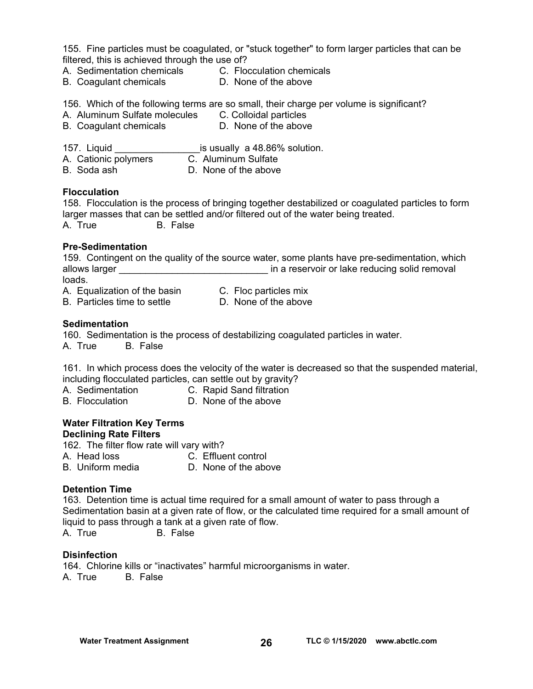155. Fine particles must be coagulated, or "stuck together" to form larger particles that can be filtered, this is achieved through the use of?

- A. Sedimentation chemicals C. Flocculation chemicals
- B. Coagulant chemicals D. None of the above
- 

156. Which of the following terms are so small, their charge per volume is significant?<br>A. Aluminum Sulfate molecules C. Colloidal particles

- A. Aluminum Sulfate molecules C. Colloidal particles<br>B. Coagulant chemicals B. None of the above
- B. Coagulant chemicals

157. Liquid **Example 20** is usually a 48.86% solution.

- A. Cationic polymers C. Aluminum Sulfate
- B. Soda ash D. None of the above

# **Flocculation**

158. Flocculation is the process of bringing together destabilized or coagulated particles to form larger masses that can be settled and/or filtered out of the water being treated. A. True B. False

# **Pre-Sedimentation**

159. Contingent on the quality of the source water, some plants have pre-sedimentation, which allows larger **allows** larger  $\qquad \qquad$  in a reservoir or lake reducing solid removal loads.

- A. Equalization of the basin C. Floc particles mix
- B. Particles time to settle **D.** None of the above
- 

# **Sedimentation**

160. Sedimentation is the process of destabilizing coagulated particles in water. A. True B. False

161. In which process does the velocity of the water is decreased so that the suspended material, including flocculated particles, can settle out by gravity?

- A. Sedimentation C. Rapid Sand filtration
- B. Flocculation D. None of the above

#### **Water Filtration Key Terms Declining Rate Filters**

162. The filter flow rate will vary with? A. Head loss C. Effluent control B. Uniform media D. None of the above

# **Detention Time**

163. Detention time is actual time required for a small amount of water to pass through a Sedimentation basin at a given rate of flow, or the calculated time required for a small amount of liquid to pass through a tank at a given rate of flow.

A. True B. False

# **Disinfection**

164. Chlorine kills or "inactivates" harmful microorganisms in water. A. True B. False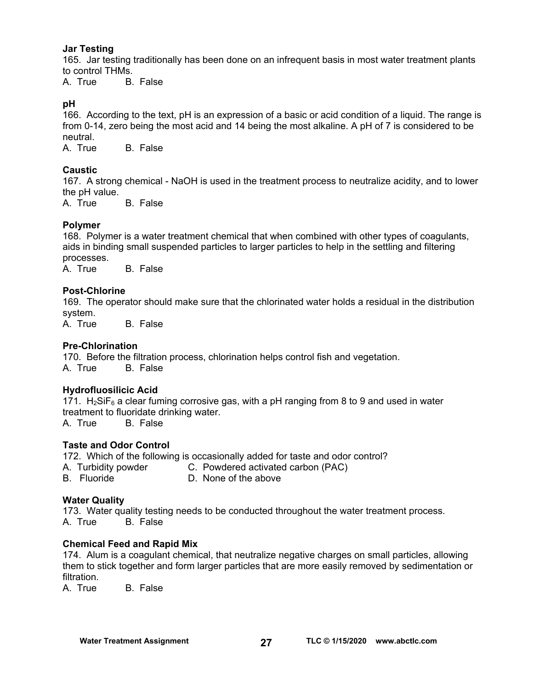#### **Jar Testing**

165. Jar testing traditionally has been done on an infrequent basis in most water treatment plants to control THMs.

A. True B. False

#### $pH$

166. According to the text, pH is an expression of a basic or acid condition of a liquid. The range is from 0-14, zero being the most acid and 14 being the most alkaline. A pH of 7 is considered to be neutral.

A. True B. False

# **Caustic**

167. A strong chemical - NaOH is used in the treatment process to neutralize acidity, and to lower the pH value.

A. True B. False

# **Polymer**

168. Polymer is a water treatment chemical that when combined with other types of coagulants, aids in binding small suspended particles to larger particles to help in the settling and filtering processes.

A. True B. False

#### **Post-Chlorine**

169. The operator should make sure that the chlorinated water holds a residual in the distribution system.

A. True B. False

#### **Pre-Chlorination**

170. Before the filtration process, chlorination helps control fish and vegetation. A. True B. False

# **Hydrofluosilicic Acid**

171.  $H_2$ SiF<sub>6</sub> a clear fuming corrosive gas, with a pH ranging from 8 to 9 and used in water treatment to fluoridate drinking water. A. True B. False

# **Taste and Odor Control**

172. Which of the following is occasionally added for taste and odor control?

- A. Turbidity powder C. Powdered activated carbon (PAC)
- B. Fluoride D. None of the above

#### **Water Quality**

173. Water quality testing needs to be conducted throughout the water treatment process. A. True B. False

#### **Chemical Feed and Rapid Mix**

174. Alum is a coagulant chemical, that neutralize negative charges on small particles, allowing them to stick together and form larger particles that are more easily removed by sedimentation or filtration.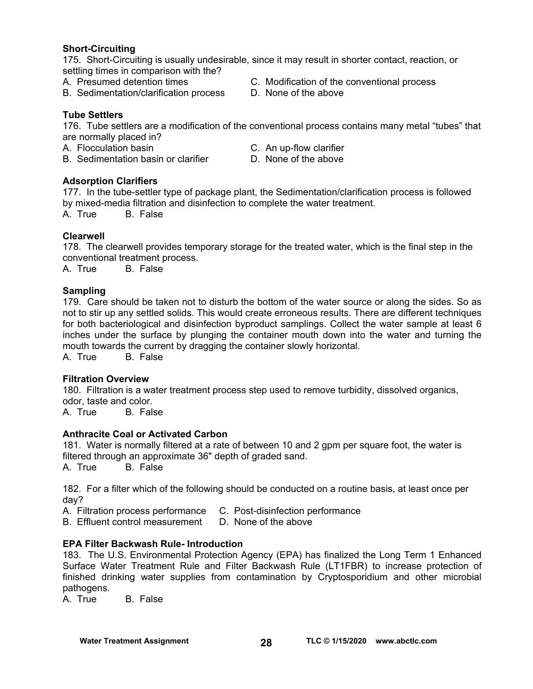# **Short-Circuiting**

175. Short-Circuiting is usually undesirable, since it may result in shorter contact, reaction, or settling times in comparison with the?

- 
- B. Sedimentation/clarification process D. None of the above
- A. Presumed detention times C. Modification of the conventional process
	-

# **Tube Settlers**

176. Tube settlers are a modification of the conventional process contains many metal "tubes" that are normally placed in?

- A. Flocculation basin C. An up-flow clarifier
- B. Sedimentation basin or clarifier D. None of the above
- -

# **Adsorption Clarifiers**

177. In the tube-settler type of package plant, the Sedimentation/clarification process is followed by mixed-media filtration and disinfection to complete the water treatment.

A. True B. False

# **Clearwell**

178. The clearwell provides temporary storage for the treated water, which is the final step in the conventional treatment process.

A. True B. False

# **Sampling**

179. Care should be taken not to disturb the bottom of the water source or along the sides. So as not to stir up any settled solids. This would create erroneous results. There are different techniques for both bacteriological and disinfection byproduct samplings. Collect the water sample at least 6 inches under the surface by plunging the container mouth down into the water and turning the mouth towards the current by dragging the container slowly horizontal.

A. True B. False

# **Filtration Overview**

180. Filtration is a water treatment process step used to remove turbidity, dissolved organics, odor, taste and color.<br>A. True B. Fals

B. False

# **Anthracite Coal or Activated Carbon**

181. Water is normally filtered at a rate of between 10 and 2 gpm per square foot, the water is filtered through an approximate 36" depth of graded sand.

A. True B. False

182. For a filter which of the following should be conducted on a routine basis, at least once per day?

A. Filtration process performance C. Post-disinfection performance

B. Effluent control measurement  $\Box$  None of the above

# **EPA Filter Backwash Rule- Introduction**

183. The U.S. Environmental Protection Agency (EPA) has finalized the Long Term 1 Enhanced Surface Water Treatment Rule and Filter Backwash Rule (LT1FBR) to increase protection of finished drinking water supplies from contamination by Cryptosporidium and other microbial pathogens.<br>A. True

B. False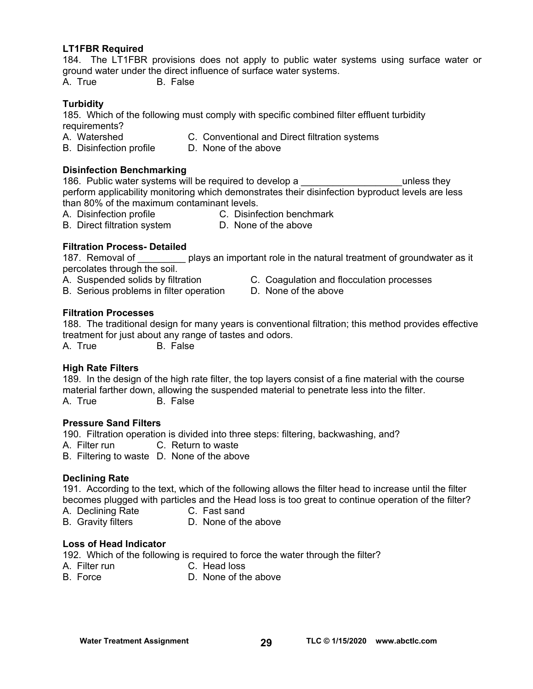#### **LT1FBR Required**

184. The LT1FBR provisions does not apply to public water systems using surface water or ground water under the direct influence of surface water systems. A. True B. False

**Turbidity** 

185. Which of the following must comply with specific combined filter effluent turbidity requirements?

- A. Watershed C. Conventional and Direct filtration systems
- B. Disinfection profile D. None of the above

#### **Disinfection Benchmarking**

186. Public water systems will be required to develop a **Theorem Contains the latter** unless they perform applicability monitoring which demonstrates their disinfection byproduct levels are less than 80% of the maximum contaminant levels.

- A. Disinfection profile C. Disinfection benchmark
	-
- B. Direct filtration system D. None of the above
	-

# **Filtration Process- Detailed**

187. Removal of plays an important role in the natural treatment of groundwater as it percolates through the soil.

- 
- B. Serious problems in filter operation D. None of the above
- A. Suspended solids by filtration **C. Coagulation and flocculation processes** 
	-

#### **Filtration Processes**

188. The traditional design for many years is conventional filtration; this method provides effective treatment for just about any range of tastes and odors. A. True B. False

# **High Rate Filters**

189. In the design of the high rate filter, the top layers consist of a fine material with the course material farther down, allowing the suspended material to penetrate less into the filter. A. True B. False

#### **Pressure Sand Filters**

190. Filtration operation is divided into three steps: filtering, backwashing, and?

A. Filter run C. Return to waste

B. Filtering to waste D. None of the above

# **Declining Rate**

191. According to the text, which of the following allows the filter head to increase until the filter becomes plugged with particles and the Head loss is too great to continue operation of the filter?

- A. Declining Rate C. Fast sand
- B. Gravity filters **D. None of the above**

#### **Loss of Head Indicator**

192. Which of the following is required to force the water through the filter?

- A. Filter run C. Head loss
	-
- B. Force D. None of the above